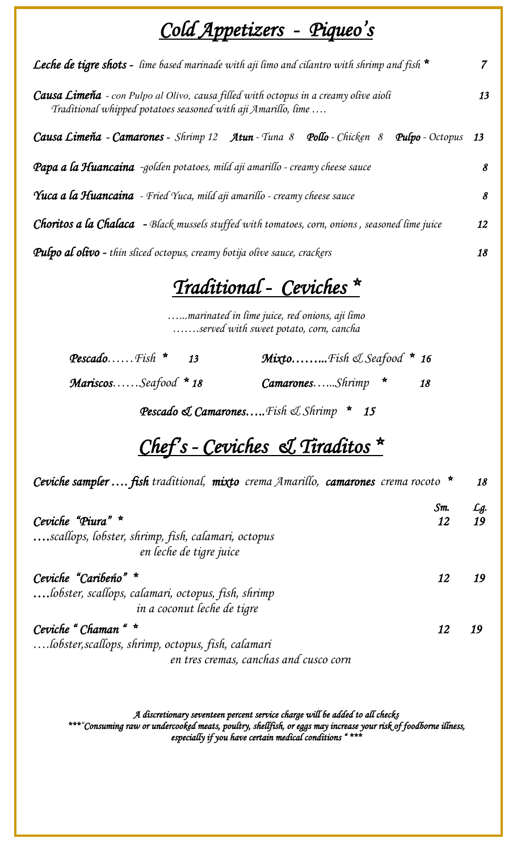# *Cold Appetizers - Piqueo's*

| <b>Leche de tigre shots</b> - lime based marinade with aji limo and cilantro with shrimp and fish $*$                                                 | $\overline{7}$ |
|-------------------------------------------------------------------------------------------------------------------------------------------------------|----------------|
| Causa Limeňa - con Pulpo al Olivo, causa filled with octopus in a creamy olive aioli<br>Traditional whipped potatoes seasoned with aji Amarillo, lime | 13             |
| Causa Limeňa - Camarones - Shrimp 12 Atun - Tuna 8 Pollo - Chicken 8<br><b>Pulpo</b> - Octopus 13                                                     |                |
| Papa a la Huancaina -golden potatoes, mild aji amarillo - creamy cheese sauce                                                                         | 8              |
| Yuca a la Huancaina - Fried Yuca, mild aji amarillo - creamy cheese sauce                                                                             | 8              |
| <b>Choritos a la Chalaca</b> - Black mussels stuffed with tomatoes, corn, onions, seasoned lime juice                                                 | 12             |
| <b>Pulpo al olivo -</b> thin sliced octopus, creamy botija olive sauce, crackers                                                                      | 18             |

### *Traditional - Ceviches \**

*…...marinated in lime juice, red onions, aji limo …….served with sweet potato, corn, cancha*

| <b>Pescado</b> Fish $*$ 13 | <b>Mixto</b> Fish & Seafood $*$ 16 |  |
|----------------------------|------------------------------------|--|
| .                          |                                    |  |

 *Mariscos……Seafood \* 18 Camarones…...Shrimp \* 18* 

 *Pescado & Camarones…..Fish & Shrimp \* 15* 

# *Chef's - Ceviches & Tiraditos \**

| Ceviche sampler  fish traditional, mixto crema Amarillo, camarones crema rocoto $*$ | 18  |
|-------------------------------------------------------------------------------------|-----|
| Sm                                                                                  | Lg. |
| Ceviche "Piura" *<br>12                                                             | 19  |
| scallops, lobster, shrimp, fish, calamari, octopus<br>en leche de tigre juice       |     |
| Ceviche "Caribeno" *<br>12                                                          |     |
| lobster, scallops, calamari, octopus, fish, shrimp                                  |     |
| in a coconut leche de tigre                                                         |     |
| Ceviche "Chaman " *<br>12                                                           | 19  |
| lobster, scallops, shrimp, octopus, fish, calamari                                  |     |
| en tres cremas, canchas and cusco corn                                              |     |

*A discretionary seventeen percent service charge will be added to all checks \*\*\*"Consuming raw or undercooked meats, poultry, shellfish, or eggs may increase your risk of foodborne illness, especially if you have certain medical conditions " \*\*\**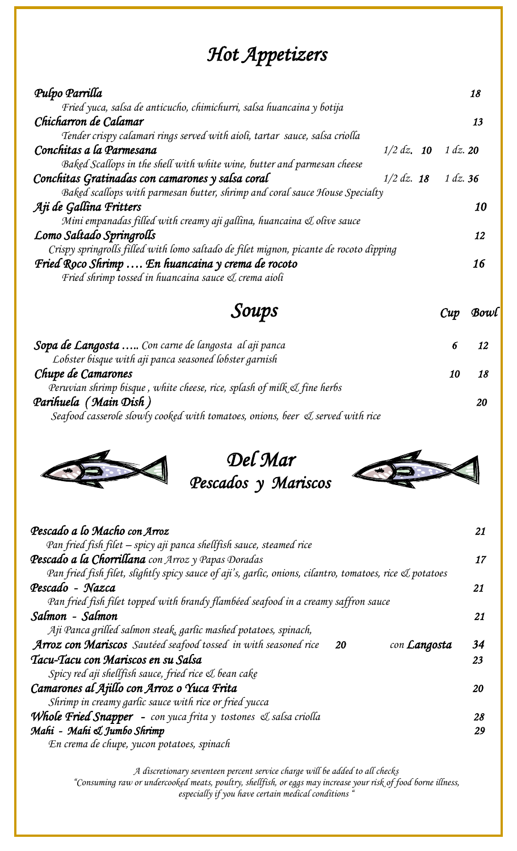## *Hot Appetizers*

| Pulpo Parrilla                                                                         | 18             |
|----------------------------------------------------------------------------------------|----------------|
| Fried yuca, salsa de anticucho, chimichurri, salsa huancaina y botija                  |                |
| Chicharron de Calamar                                                                  | 13             |
| Tender crispy calamari rings served with aioli, tartar sauce, salsa criolla            |                |
| Conchitas a la Parmesana<br>$1/2$ dz. 10                                               | $1 \, dz$ , 20 |
| Baked Scallops in the shell with white wine, butter and parmesan cheese                |                |
| Conchitas Gratinadas con camarones y salsa coral<br>$1/2$ dz. 18                       | $1 \, dz.$ 36  |
| Baked scallops with parmesan butter, shrimp and coral sauce House Specialty            |                |
| Aji de Gallina Fritters                                                                | 10             |
| Mini empanadas filled with creamy aji gallina, huancaina & olive sauce                 |                |
| Lomo Saltado Springrolls                                                               | 12             |
| Crispy springrolls filled with lomo saltado de filet mignon, picante de rocoto dipping |                |
| Fried Roco Shrimp  En huancaina y crema de rocoto                                      | 16             |
| Fried shrimp tossed in huancaina sauce & crema aioli                                   |                |

| Cup | Bowl |
|-----|------|
|-----|------|

| Sopa de Langosta  Con carne de langosta al aji panca                           |  |
|--------------------------------------------------------------------------------|--|
| Lobster bisque with aji panca seasoned lobster garnish                         |  |
| Chupe de Camarones                                                             |  |
| Peruvian shrimp bisque, white cheese, rice, splash of milk & fine herbs        |  |
| Parihuela (Main Dish)                                                          |  |
| Seafood casserole slowly cooked with tomatoes, onions, beer & served with rice |  |



*Del Mar Pescados y Mariscos* 



| Pescado a lo Macho con Arroz                                                                             | 21 |
|----------------------------------------------------------------------------------------------------------|----|
| Pan fried fish filet – spicy aji panca shellfish sauce, steamed rice                                     |    |
| Pescado a la Chorrillana con Arroz y Papas Doradas                                                       | 17 |
| Pan fried fish filet, slightly spicy sauce of aji's, garlic, onions, cilantro, tomatoes, rice & potatoes |    |
| Pescado - Nazca                                                                                          | 21 |
| Pan fried fish filet topped with brandy flambéed seafood in a creamy saffron sauce                       |    |
| Salmon - Salmon                                                                                          | 21 |
| $A\ddot{\mu}$ Panca grilled salmon steak, garlic mashed potatoes, spinach,                               |    |
| <b>Arroz con Mariscos</b> Sautéed seafood tossed in with seasoned rice<br>con <b>Langosta</b><br>20      | 34 |
| Tacu-Tacu con Mariscos en su Salsa                                                                       | 23 |
| Spicy red aji shellfish sauce, fried rice & bean cake                                                    |    |
| Camarones al Ajillo con Arroz o Yuca Frita                                                               | 20 |
| Shrimp in creamy garlic sauce with rice or fried yucca                                                   |    |
| <b>Whole Fried Snapper</b> - con yuca frita y tostones & salsa criolla                                   | 28 |
| Mahi - Mahi & Jumbo Shrimp                                                                               | 29 |
| En crema de chupe, yucon potatoes, spinach                                                               |    |

*A discretionary seventeen percent service charge will be added to all checks* 

*"Consuming raw or undercooked meats, poultry, shellfish, or eggs may increase your risk of food borne illness, especially if you have certain medical conditions "*